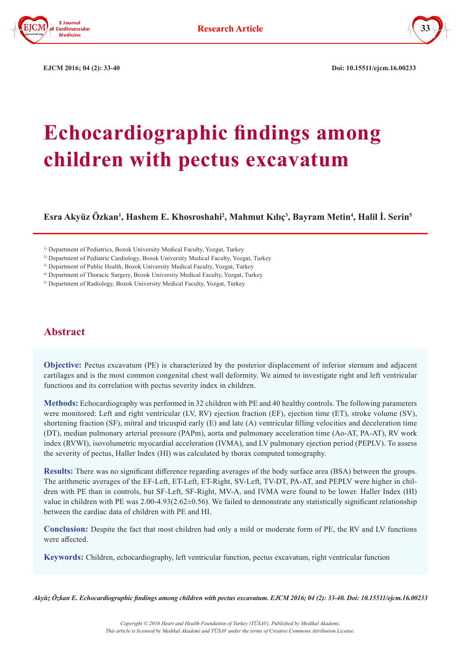



 **EJCM 2016; 04 (2): 33-40 Doi: 10.15511/ejcm.16.00233**

# **Echocardiographic findings among children with pectus excavatum**

**Esra Akyüz Özkan<sup>1</sup> , Hashem E. Khosroshahi<sup>2</sup> , Mahmut Kılıç<sup>3</sup> , Bayram Metin<sup>4</sup> , Halil İ. Serin<sup>5</sup>**

<sup>1)</sup> Department of Pediatrics, Bozok University Medical Faculty, Yozgat, Turkey

2) Department of Pediatric Cardiology, Bozok University Medical Faculty, Yozgat, Turkey

<sup>3)</sup> Department of Public Health, Bozok University Medical Faculty, Yozgat, Turkey

4) Department of Thoracic Surgery, Bozok University Medical Faculty, Yozgat, Turkey

5) Department of Radiology, Bozok University Medical Faculty, Yozgat, Turkey

# **Abstract**

**Objective:** Pectus excavatum (PE) is characterized by the posterior displacement of inferior sternum and adjacent cartilages and is the most common congenital chest wall deformity. We aimed to investigate right and left ventricular functions and its correlation with pectus severity index in children.

**Methods:** Echocardiography was performed in 32 children with PE and 40 healthy controls. The following parameters were monitored: Left and right ventricular (LV, RV) ejection fraction (EF), ejection time (ET), stroke volume (SV), shortening fraction (SF), mitral and tricuspid early (E) and late (A) ventricular filling velocities and deceleration time (DT), median pulmonary arterial pressure (PAPm), aorta and pulmonary acceleration time (Ao-AT, PA-AT), RV work index (RVWI), isovolumetric myocardial acceleration (IVMA), and LV pulmonary ejection period (PEPLV). To assess the severity of pectus, Haller Index (HI) was calculated by thorax computed tomography.

**Results:** There was no significant difference regarding averages of the body surface area (BSA) between the groups. The arithmetic averages of the EF-Left, ET-Left, ET-Right, SV-Left, TV-DT, PA-AT, and PEPLV were higher in children with PE than in controls, but SF-Left, SF-Right, MV-A, and IVMA were found to be lower. Haller Index (HI) value in children with PE was 2.00-4.93(2.62±0.56). We failed to demonstrate any statistically significant relationship between the cardiac data of children with PE and HI.

**Conclusion:** Despite the fact that most children had only a mild or moderate form of PE, the RV and LV functions were affected.

**Keywords:** Children, echocardiography, left ventricular function, pectus excavatum, right ventricular function

*Akyüz Özkan E. Echocardiographic findings among children with pectus excavatum. EJCM 2016; 04 (2): 33-40. Doi: 10.15511/ejcm.16.00233*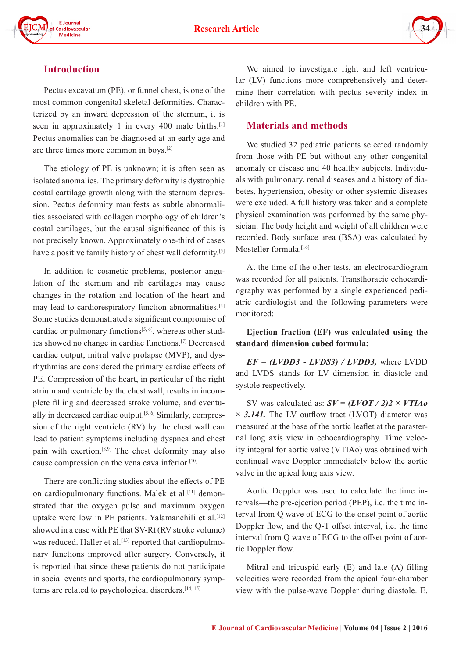



# **Introduction**

Pectus excavatum (PE), or funnel chest, is one of the most common congenital skeletal deformities. Characterized by an inward depression of the sternum, it is seen in approximately 1 in every 400 male births.<sup>[1]</sup> Pectus anomalies can be diagnosed at an early age and are three times more common in boys.[2]

The etiology of PE is unknown; it is often seen as isolated anomalies. The primary deformity is dystrophic costal cartilage growth along with the sternum depression. Pectus deformity manifests as subtle abnormalities associated with collagen morphology of children's costal cartilages, but the causal significance of this is not precisely known. Approximately one-third of cases have a positive family history of chest wall deformity.[3]

In addition to cosmetic problems, posterior angulation of the sternum and rib cartilages may cause changes in the rotation and location of the heart and may lead to cardiorespiratory function abnormalities.[4] Some studies demonstrated a significant compromise of cardiac or pulmonary functions<sup>[5, 6]</sup>, whereas other studies showed no change in cardiac functions.[7] Decreased cardiac output, mitral valve prolapse (MVP), and dysrhythmias are considered the primary cardiac effects of PE. Compression of the heart, in particular of the right atrium and ventricle by the chest wall, results in incomplete filling and decreased stroke volume, and eventually in decreased cardiac output.<sup>[5, 6]</sup> Similarly, compression of the right ventricle (RV) by the chest wall can lead to patient symptoms including dyspnea and chest pain with exertion.[8,9] The chest deformity may also cause compression on the vena cava inferior.[10]

There are conflicting studies about the effects of PE on cardiopulmonary functions. Malek et al.<sup>[11]</sup> demonstrated that the oxygen pulse and maximum oxygen uptake were low in PE patients. Yalamanchili et al.<sup>[12]</sup> showed in a case with PE that SV-Rt (RV stroke volume) was reduced. Haller et al.<sup>[13]</sup> reported that cardiopulmonary functions improved after surgery. Conversely, it is reported that since these patients do not participate in social events and sports, the cardiopulmonary symptoms are related to psychological disorders.<sup>[14, 15]</sup>

We aimed to investigate right and left ventricular (LV) functions more comprehensively and determine their correlation with pectus severity index in children with PE.

# **Materials and methods**

We studied 32 pediatric patients selected randomly from those with PE but without any other congenital anomaly or disease and 40 healthy subjects. Individuals with pulmonary, renal diseases and a history of diabetes, hypertension, obesity or other systemic diseases were excluded. A full history was taken and a complete physical examination was performed by the same physician. The body height and weight of all children were recorded. Body surface area (BSA) was calculated by Mosteller formula<sup>[16]</sup>

At the time of the other tests, an electrocardiogram was recorded for all patients. Transthoracic echocardiography was performed by a single experienced pediatric cardiologist and the following parameters were monitored:

**Ejection fraction (EF) was calculated using the standard dimension cubed formula:** 

*EF = (LVDD3 - LVDS3) / LVDD3,* where LVDD and LVDS stands for LV dimension in diastole and systole respectively.

SV was calculated as: *SV = (LVOT / 2)2 × VTIAo × 3.141.* The LV outflow tract (LVOT) diameter was measured at the base of the aortic leaflet at the parasternal long axis view in echocardiography. Time velocity integral for aortic valve (VTIAo) was obtained with continual wave Doppler immediately below the aortic valve in the apical long axis view.

Aortic Doppler was used to calculate the time intervals—the pre-ejection period (PEP), i.e. the time interval from Q wave of ECG to the onset point of aortic Doppler flow, and the Q-T offset interval, i.e. the time interval from Q wave of ECG to the offset point of aortic Doppler flow.

Mitral and tricuspid early (E) and late (A) filling velocities were recorded from the apical four-chamber view with the pulse-wave Doppler during diastole. E,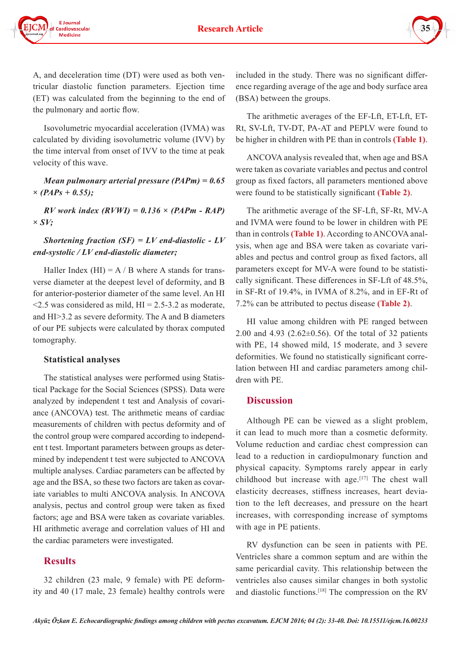



A, and deceleration time (DT) were used as both ventricular diastolic function parameters. Ejection time (ET) was calculated from the beginning to the end of the pulmonary and aortic flow.

Isovolumetric myocardial acceleration (IVMA) was calculated by dividing isovolumetric volume (IVV) by the time interval from onset of IVV to the time at peak velocity of this wave.

#### *Mean pulmonary arterial pressure (PAPm) = 0.65 × (PAPs + 0.55);*

*RV work index (RVWI) = 0.136 × (PAPm - RAP) × SV;* 

## *Shortening fraction (SF) = LV end-diastolic - LV end-systolic / LV end-diastolic diameter;*

Haller Index (HI) =  $A / B$  where A stands for transverse diameter at the deepest level of deformity, and B for anterior-posterior diameter of the same level. An HI  $\leq$ 2.5 was considered as mild, HI = 2.5-3.2 as moderate, and HI>3.2 as severe deformity. The A and B diameters of our PE subjects were calculated by thorax computed tomography.

#### **Statistical analyses**

The statistical analyses were performed using Statistical Package for the Social Sciences (SPSS). Data were analyzed by independent t test and Analysis of covariance (ANCOVA) test. The arithmetic means of cardiac measurements of children with pectus deformity and of the control group were compared according to independent t test. Important parameters between groups as determined by independent t test were subjected to ANCOVA multiple analyses. Cardiac parameters can be affected by age and the BSA, so these two factors are taken as covariate variables to multi ANCOVA analysis. In ANCOVA analysis, pectus and control group were taken as fixed factors; age and BSA were taken as covariate variables. HI arithmetic average and correlation values of HI and the cardiac parameters were investigated.

## **Results**

32 children (23 male, 9 female) with PE deformity and 40 (17 male, 23 female) healthy controls were

included in the study. There was no significant difference regarding average of the age and body surface area (BSA) between the groups.

The arithmetic averages of the EF-Lft, ET-Lft, ET-Rt, SV-Lft, TV-DT, PA-AT and PEPLV were found to be higher in children with PE than in controls **(Table 1)**.

ANCOVA analysis revealed that, when age and BSA were taken as covariate variables and pectus and control group as fixed factors, all parameters mentioned above were found to be statistically significant **(Table 2)**.

The arithmetic average of the SF-Lft, SF-Rt, MV-A and IVMA were found to be lower in children with PE than in controls **(Table 1)**. According to ANCOVA analysis, when age and BSA were taken as covariate variables and pectus and control group as fixed factors, all parameters except for MV-A were found to be statistically significant. These differences in SF-Lft of 48.5%, in SF-Rt of 19.4%, in IVMA of 8.2%, and in EF-Rt of 7.2% can be attributed to pectus disease **(Table 2)**.

HI value among children with PE ranged between 2.00 and 4.93 (2.62±0.56). Of the total of 32 patients with PE, 14 showed mild, 15 moderate, and 3 severe deformities. We found no statistically significant correlation between HI and cardiac parameters among children with PE.

## **Discussion**

Although PE can be viewed as a slight problem, it can lead to much more than a cosmetic deformity. Volume reduction and cardiac chest compression can lead to a reduction in cardiopulmonary function and physical capacity. Symptoms rarely appear in early childhood but increase with age.<sup>[17]</sup> The chest wall elasticity decreases, stiffness increases, heart deviation to the left decreases, and pressure on the heart increases, with corresponding increase of symptoms with age in PE patients.

RV dysfunction can be seen in patients with PE. Ventricles share a common septum and are within the same pericardial cavity. This relationship between the ventricles also causes similar changes in both systolic and diastolic functions.<sup>[18]</sup> The compression on the RV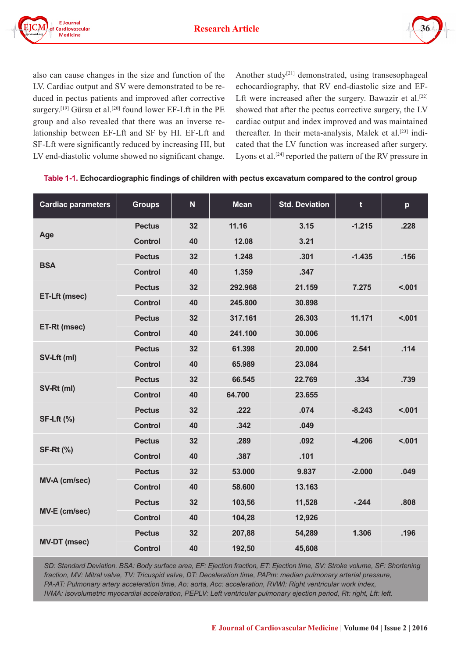



also can cause changes in the size and function of the LV. Cardiac output and SV were demonstrated to be reduced in pectus patients and improved after corrective surgery.<sup>[19]</sup> Gürsu et al.<sup>[20]</sup> found lower EF-Lft in the PE group and also revealed that there was an inverse relationship between EF-Lft and SF by HI. EF-Lft and SF-Lft were significantly reduced by increasing HI, but LV end-diastolic volume showed no significant change.

Another study<sup>[21]</sup> demonstrated, using transesophageal echocardiography, that RV end-diastolic size and EF-Lft were increased after the surgery. Bawazir et al.<sup>[22]</sup> showed that after the pectus corrective surgery, the LV cardiac output and index improved and was maintained thereafter. In their meta-analysis, Malek et al.<sup>[23]</sup> indicated that the LV function was increased after surgery. Lyons et al.<sup>[24]</sup> reported the pattern of the RV pressure in

| <b>Cardiac parameters</b> | <b>Groups</b>  | $\mathbf N$ | <b>Mean</b> | <b>Std. Deviation</b> | $\mathbf t$ | p      |
|---------------------------|----------------|-------------|-------------|-----------------------|-------------|--------|
| Age                       | <b>Pectus</b>  | 32          | 11.16       | 3.15                  | $-1.215$    | .228   |
|                           | <b>Control</b> | 40          | 12.08       | 3.21                  |             |        |
| <b>BSA</b>                | <b>Pectus</b>  | 32          | 1.248       | .301                  | $-1.435$    | .156   |
|                           | <b>Control</b> | 40          | 1.359       | .347                  |             |        |
| ET-Lft (msec)             | <b>Pectus</b>  | 32          | 292.968     | 21.159                | 7.275       | < .001 |
|                           | <b>Control</b> | 40          | 245.800     | 30.898                |             |        |
| ET-Rt (msec)              | <b>Pectus</b>  | 32          | 317.161     | 26.303                | 11.171      | < .001 |
|                           | <b>Control</b> | 40          | 241.100     | 30.006                |             |        |
|                           | <b>Pectus</b>  | 32          | 61.398      | 20.000                | 2.541       | .114   |
| SV-Lft (ml)               | <b>Control</b> | 40          | 65.989      | 23.084                |             |        |
|                           | <b>Pectus</b>  | 32          | 66.545      | 22.769                | .334        | .739   |
| SV-Rt (ml)                | <b>Control</b> | 40          | 64.700      | 23.655                |             |        |
| <b>SF-Lft (%)</b>         | <b>Pectus</b>  | 32          | .222        | .074                  | $-8.243$    | < .001 |
|                           | <b>Control</b> | 40          | .342        | .049                  |             |        |
| <b>SF-Rt (%)</b>          | <b>Pectus</b>  | 32          | .289        | .092                  | $-4.206$    | < .001 |
|                           | <b>Control</b> | 40          | .387        | .101                  |             |        |
| <b>MV-A (cm/sec)</b>      | <b>Pectus</b>  | 32          | 53.000      | 9.837                 | $-2.000$    | .049   |
|                           | <b>Control</b> | 40          | 58.600      | 13.163                |             |        |
| <b>MV-E (cm/sec)</b>      | <b>Pectus</b>  | 32          | 103,56      | 11,528                | $-244$      | .808   |
|                           | <b>Control</b> | 40          | 104,28      | 12,926                |             |        |
| <b>MV-DT (msec)</b>       | <b>Pectus</b>  | 32          | 207,88      | 54,289                | 1.306       | .196   |
|                           | <b>Control</b> | 40          | 192,50      | 45,608                |             |        |

#### **Table 1-1. Echocardiographic findings of children with pectus excavatum compared to the control group**

*SD: Standard Deviation. BSA: Body surface area, EF: Ejection fraction, ET: Ejection time, SV: Stroke volume, SF: Shortening fraction, MV: Mitral valve, TV: Tricuspid valve, DT: Deceleration time, PAPm: median pulmonary arterial pressure, PA-AT: Pulmonary artery acceleration time, Ao: aorta, Acc: acceleration, RVWI: Right ventricular work index, IVMA: isovolumetric myocardial acceleration, PEPLV: Left ventricular pulmonary ejection period, Rt: right, Lft: left.*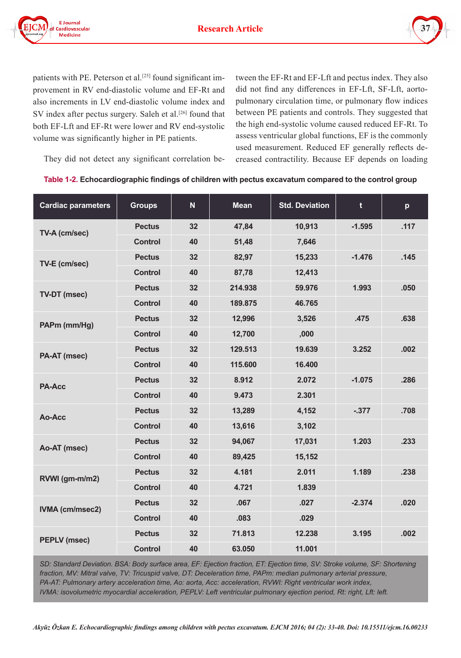



patients with PE. Peterson et al.<sup>[25]</sup> found significant improvement in RV end-diastolic volume and EF-Rt and also increments in LV end-diastolic volume index and SV index after pectus surgery. Saleh et al.<sup>[26]</sup> found that both EF-Lft and EF-Rt were lower and RV end-systolic volume was significantly higher in PE patients.

They did not detect any significant correlation be-

tween the EF-Rt and EF-Lft and pectus index. They also did not find any differences in EF-Lft, SF-Lft, aortopulmonary circulation time, or pulmonary flow indices between PE patients and controls. They suggested that the high end-systolic volume caused reduced EF-Rt. To assess ventricular global functions, EF is the commonly used measurement. Reduced EF generally reflects decreased contractility. Because EF depends on loading

|  | Table 1-2. Echocardiographic findings of children with pectus excavatum compared to the control group |  |  |  |
|--|-------------------------------------------------------------------------------------------------------|--|--|--|
|--|-------------------------------------------------------------------------------------------------------|--|--|--|

| <b>Cardiac parameters</b> | <b>Groups</b>  | $\mathbf N$ | <b>Mean</b> | <b>Std. Deviation</b> | t        | p    |
|---------------------------|----------------|-------------|-------------|-----------------------|----------|------|
| TV-A (cm/sec)             | <b>Pectus</b>  | 32          | 47,84       | 10,913                | $-1.595$ | .117 |
|                           | <b>Control</b> | 40          | 51,48       | 7,646                 |          |      |
| TV-E (cm/sec)             | <b>Pectus</b>  | 32          | 82,97       | 15,233                | $-1.476$ | .145 |
|                           | <b>Control</b> | 40          | 87,78       | 12,413                |          |      |
| TV-DT (msec)              | <b>Pectus</b>  | 32          | 214.938     | 59.976                | 1.993    | .050 |
|                           | <b>Control</b> | 40          | 189.875     | 46.765                |          |      |
| PAPm (mm/Hg)              | <b>Pectus</b>  | 32          | 12,996      | 3,526                 | .475     | .638 |
|                           | <b>Control</b> | 40          | 12,700      | ,000                  |          |      |
| PA-AT (msec)              | <b>Pectus</b>  | 32          | 129.513     | 19.639                | 3.252    | .002 |
|                           | <b>Control</b> | 40          | 115.600     | 16.400                |          |      |
| <b>PA-Acc</b>             | <b>Pectus</b>  | 32          | 8.912       | 2.072                 | $-1.075$ | .286 |
|                           | <b>Control</b> | 40          | 9.473       | 2.301                 |          |      |
| Ao-Acc                    | <b>Pectus</b>  | 32          | 13,289      | 4,152                 | $-377$   | .708 |
|                           | <b>Control</b> | 40          | 13,616      | 3,102                 |          |      |
| Ao-AT (msec)              | <b>Pectus</b>  | 32          | 94,067      | 17,031                | 1.203    | .233 |
|                           | <b>Control</b> | 40          | 89,425      | 15,152                |          |      |
| RVWI (gm-m/m2)            | <b>Pectus</b>  | 32          | 4.181       | 2.011                 | 1.189    | .238 |
|                           | <b>Control</b> | 40          | 4.721       | 1.839                 |          |      |
| <b>IVMA (cm/msec2)</b>    | <b>Pectus</b>  | 32          | .067        | .027                  | $-2.374$ | .020 |
|                           | <b>Control</b> | 40          | .083        | .029                  |          |      |
| <b>PEPLV (msec)</b>       | <b>Pectus</b>  | 32          | 71.813      | 12.238                | 3.195    | .002 |
|                           | <b>Control</b> | 40          | 63.050      | 11.001                |          |      |

*SD: Standard Deviation. BSA: Body surface area, EF: Ejection fraction, ET: Ejection time, SV: Stroke volume, SF: Shortening*  fraction, MV: Mitral valve, TV: Tricuspid valve, DT: Deceleration time, PAPm: median pulmonary arterial pressure, *PA-AT: Pulmonary artery acceleration time, Ao: aorta, Acc: acceleration, RVWI: Right ventricular work index, IVMA: isovolumetric myocardial acceleration, PEPLV: Left ventricular pulmonary ejection period, Rt: right, Lft: left.*

*Akyüz Özkan E. Echocardiographic findings among children with pectus excavatum. EJCM 2016; 04 (2): 33-40. Doi: 10.15511/ejcm.16.00233*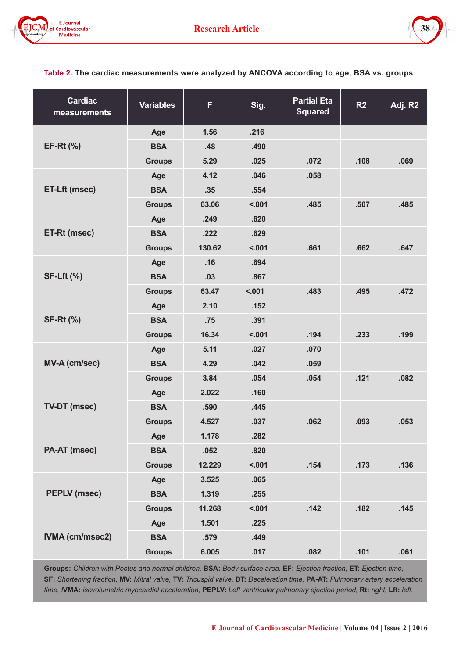



**Table 2. The cardiac measurements were analyzed by ANCOVA according to age, BSA vs. groups**

| <b>Cardiac</b><br>measurements | <b>Variables</b> | F      | Sig.   | <b>Partial Eta</b><br><b>Squared</b> | R <sub>2</sub> | Adj. R2 |
|--------------------------------|------------------|--------|--------|--------------------------------------|----------------|---------|
|                                | Age              | 1.56   | .216   |                                      |                |         |
| $EF-Rt$ (%)                    | <b>BSA</b>       | .48    | .490   |                                      |                |         |
|                                | <b>Groups</b>    | 5.29   | .025   | .072                                 | .108           | .069    |
|                                | Age              | 4.12   | .046   | .058                                 |                |         |
| <b>ET-Lft (msec)</b>           | <b>BSA</b>       | .35    | .554   |                                      |                |         |
|                                | <b>Groups</b>    | 63.06  | < .001 | .485                                 | .507           | .485    |
|                                | Age              | .249   | .620   |                                      |                |         |
| ET-Rt (msec)                   | <b>BSA</b>       | .222   | .629   |                                      |                |         |
|                                | <b>Groups</b>    | 130.62 | < .001 | .661                                 | .662           | .647    |
|                                | Age              | .16    | .694   |                                      |                |         |
| <b>SF-Lft (%)</b>              | <b>BSA</b>       | .03    | .867   |                                      |                |         |
|                                | <b>Groups</b>    | 63.47  | < .001 | .483                                 | .495           | .472    |
|                                | Age              | 2.10   | .152   |                                      |                |         |
| <b>SF-Rt (%)</b>               | <b>BSA</b>       | .75    | .391   |                                      |                |         |
|                                | <b>Groups</b>    | 16.34  | < .001 | .194                                 | .233           | .199    |
|                                | Age              | 5.11   | .027   | .070                                 |                |         |
| <b>MV-A (cm/sec)</b>           | <b>BSA</b>       | 4.29   | .042   | .059                                 |                |         |
|                                | <b>Groups</b>    | 3.84   | .054   | .054                                 | .121           | .082    |
|                                | Age              | 2.022  | .160   |                                      |                |         |
| <b>TV-DT (msec)</b>            | <b>BSA</b>       | .590   | .445   |                                      |                |         |
|                                | <b>Groups</b>    | 4.527  | .037   | .062                                 | .093           | .053    |
|                                | Age              | 1.178  | .282   |                                      |                |         |
| PA-AT (msec)                   | <b>BSA</b>       | .052   | .820   |                                      |                |         |
|                                | <b>Groups</b>    | 12.229 | < .001 | .154                                 | .173           | .136    |
|                                | Age              | 3.525  | .065   |                                      |                |         |
| <b>PEPLV (msec)</b>            | <b>BSA</b>       | 1.319  | .255   |                                      |                |         |
|                                | <b>Groups</b>    | 11.268 | < .001 | .142                                 | .182           | .145    |
|                                | Age              | 1.501  | .225   |                                      |                |         |
| <b>IVMA (cm/msec2)</b>         | <b>BSA</b>       | .579   | .449   |                                      |                |         |
|                                | <b>Groups</b>    | 6.005  | .017   | .082                                 | .101           | .061    |

**Groups:** *Children with Pectus and normal children.* **BSA:** *Body surface area.* **EF:** *Ejection fraction,* **ET:** *Ejection time,*  **SF:** *Shortening fraction,* **MV:** *Mitral valve,* **TV:** *Tricuspid valve,* **DT:** *Deceleration time,* **PA-AT:** *Pulmonary artery acceleration time, I***VMA:** *isovolumetric myocardial acceleration,* **PEPLV:** *Left ventricular pulmonary ejection period,* **Rt:** *right,* **Lft:** *left.*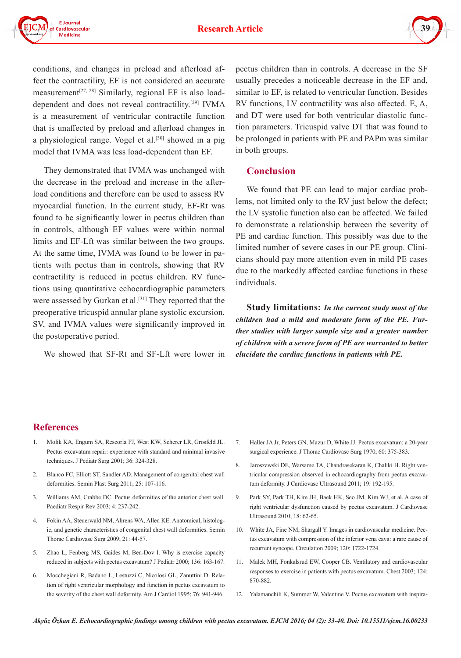

conditions, and changes in preload and afterload affect the contractility, EF is not considered an accurate measurement<sup>[27, 28]</sup> Similarly, regional EF is also loaddependent and does not reveal contractility.[29] IVMA is a measurement of ventricular contractile function that is unaffected by preload and afterload changes in a physiological range. Vogel et al.<sup>[30]</sup> showed in a pig model that IVMA was less load-dependent than EF.

They demonstrated that IVMA was unchanged with the decrease in the preload and increase in the afterload conditions and therefore can be used to assess RV myocardial function. In the current study, EF-Rt was found to be significantly lower in pectus children than in controls, although EF values were within normal limits and EF-Lft was similar between the two groups. At the same time, IVMA was found to be lower in patients with pectus than in controls, showing that RV contractility is reduced in pectus children. RV functions using quantitative echocardiographic parameters were assessed by Gurkan et al.<sup>[31]</sup> They reported that the preoperative tricuspid annular plane systolic excursion, SV, and IVMA values were significantly improved in the postoperative period.

We showed that SF-Rt and SF-Lft were lower in

pectus children than in controls. A decrease in the SF usually precedes a noticeable decrease in the EF and, similar to EF, is related to ventricular function. Besides RV functions, LV contractility was also affected. E, A, and DT were used for both ventricular diastolic function parameters. Tricuspid valve DT that was found to be prolonged in patients with PE and PAPm was similar in both groups.

## **Conclusion**

We found that PE can lead to major cardiac problems, not limited only to the RV just below the defect; the LV systolic function also can be affected. We failed to demonstrate a relationship between the severity of PE and cardiac function. This possibly was due to the limited number of severe cases in our PE group. Clinicians should pay more attention even in mild PE cases due to the markedly affected cardiac functions in these individuals.

**Study limitations:** *In the current study most of the children had a mild and moderate form of the PE. Further studies with larger sample size and a greater number of children with a severe form of PE are warranted to better elucidate the cardiac functions in patients with PE.*

# **References**

- 1. Molik KA, Engum SA, Rescorla FJ, West KW, Scherer LR, Grosfeld JL. Pectus excavatum repair: experience with standard and minimal invasive techniques. J Pediatr Surg 2001; 36: 324-328.
- 2. Blanco FC, Elliott ST, Sandler AD. Management of congenital chest wall deformities. Semin Plast Surg 2011; 25: 107-116.
- 3. Williams AM, Crabbe DC. Pectus deformities of the anterior chest wall. Paediatr Respir Rev 2003; 4: 237-242.
- 4. Fokin AA, Steuerwald NM, Ahrens WA, Allen KE. Anatomical, histologic, and genetic characteristics of congenital chest wall deformities. Semin Thorac Cardiovasc Surg 2009; 21: 44-57.
- 5. Zhao L, Fenberg MS, Gaides M, Ben-Dov I. Why is exercise capacity reduced in subjects with pectus excavatum? J Pediatr 2000; 136: 163-167.
- 6. Mocchegiani R, Badano L, Lestuzzi C, Nicolosi GL, Zanuttini D. Relation of right ventricular morphology and function in pectus excavatum to the severity of the chest wall deformity. Am J Cardiol 1995; 76: 941-946.
- 7. Haller JA Jr, Peters GN, Mazur D, White JJ. Pectus excavatum: a 20-year surgical experience. J Thorac Cardiovasc Surg 1970; 60: 375-383.
- 8. Jaroszewski DE, Warsame TA, Chandrasekaran K, Chaliki H. Right ventricular compression observed in echocardiography from pectus excavatum deformity. J Cardiovasc Ultrasound 2011; 19: 192-195.
- 9. Park SY, Park TH, Kim JH, Baek HK, Seo JM, Kim WJ, et al. A case of right ventricular dysfunction caused by pectus excavatum. J Cardiovasc Ultrasound 2010; 18: 62-65.
- 10. White JA, Fine NM, Shargall Y. Images in cardiovascular medicine. Pectus excavatum with compression of the inferior vena cava: a rare cause of recurrent syncope. Circulation 2009; 120: 1722-1724.
- 11. Malek MH, Fonkalsrud EW, Cooper CB. Ventilatory and cardiovascular responses to exercise in patients with pectus excavatum. Chest 2003; 124: 870-882.
- 12. Yalamanchili K, Summer W, Valentine V. Pectus excavatum with inspira-